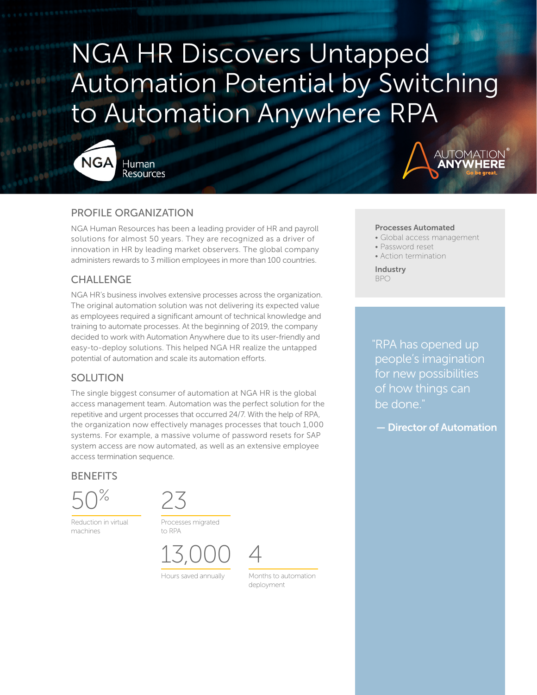# NGA HR Discovers Untapped Automation Potential by Switching to Automation Anywhere RPA



Human **Resources** 



### PROFILE ORGANIZATION

NGA Human Resources has been a leading provider of HR and payroll solutions for almost 50 years. They are recognized as a driver of innovation in HR by leading market observers. The global company administers rewards to 3 million employees in more than 100 countries.

## CHALLENGE

NGA HR's business involves extensive processes across the organization. The original automation solution was not delivering its expected value as employees required a significant amount of technical knowledge and training to automate processes. At the beginning of 2019, the company decided to work with Automation Anywhere due to its user-friendly and easy-to-deploy solutions. This helped NGA HR realize the untapped potential of automation and scale its automation efforts.

# SOLUTION

The single biggest consumer of automation at NGA HR is the global access management team. Automation was the perfect solution for the repetitive and urgent processes that occurred 24/7. With the help of RPA, the organization now effectively manages processes that touch 1,000 systems. For example, a massive volume of password resets for SAP system access are now automated, as well as an extensive employee access termination sequence.

#### **BENEFITS**

50%

Reduction in virtual machines



Processes migrated to RPA

13,000 4



Hours saved annually Months to automation

deployment

#### Processes Automated

- Global access management
- Password reset
- Action termination

Industry BPO

"RPA has opened up people's imagination for new possibilities of how things can be done."

— Director of Automation